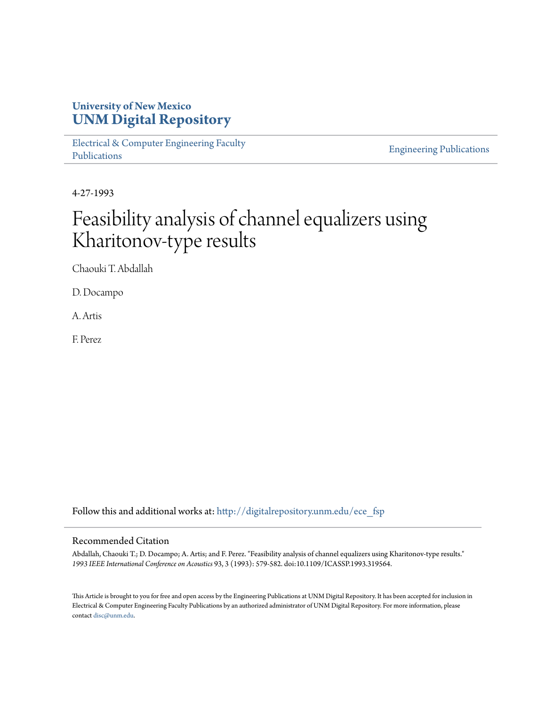# **University of New Mexico [UNM Digital Repository](http://digitalrepository.unm.edu?utm_source=digitalrepository.unm.edu%2Fece_fsp%2F83&utm_medium=PDF&utm_campaign=PDFCoverPages)**

[Electrical & Computer Engineering Faculty](http://digitalrepository.unm.edu/ece_fsp?utm_source=digitalrepository.unm.edu%2Fece_fsp%2F83&utm_medium=PDF&utm_campaign=PDFCoverPages) [Publications](http://digitalrepository.unm.edu/ece_fsp?utm_source=digitalrepository.unm.edu%2Fece_fsp%2F83&utm_medium=PDF&utm_campaign=PDFCoverPages)

[Engineering Publications](http://digitalrepository.unm.edu/eng_fsp?utm_source=digitalrepository.unm.edu%2Fece_fsp%2F83&utm_medium=PDF&utm_campaign=PDFCoverPages)

4-27-1993

# Feasibility analysis of channel equalizers using Kharitonov-type results

Chaouki T. Abdallah

D. Docampo

A. Artis

F. Perez

Follow this and additional works at: [http://digitalrepository.unm.edu/ece\\_fsp](http://digitalrepository.unm.edu/ece_fsp?utm_source=digitalrepository.unm.edu%2Fece_fsp%2F83&utm_medium=PDF&utm_campaign=PDFCoverPages)

#### Recommended Citation

Abdallah, Chaouki T.; D. Docampo; A. Artis; and F. Perez. "Feasibility analysis of channel equalizers using Kharitonov-type results." *1993 IEEE International Conference on Acoustics* 93, 3 (1993): 579-582. doi:10.1109/ICASSP.1993.319564.

This Article is brought to you for free and open access by the Engineering Publications at UNM Digital Repository. It has been accepted for inclusion in Electrical & Computer Engineering Faculty Publications by an authorized administrator of UNM Digital Repository. For more information, please contact [disc@unm.edu.](mailto:disc@unm.edu)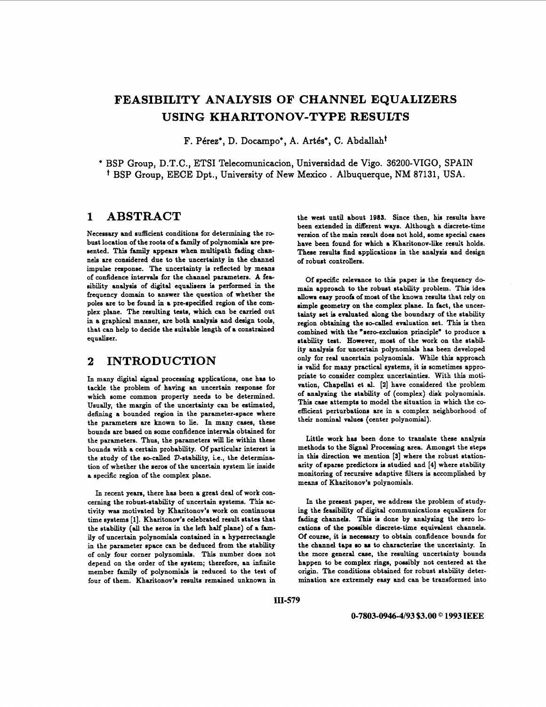# **FEASIBILITY ANALYSIS OF CHANNEL EQUALIZERS USING KHARITONOV-TYPE RESULTS**

F. Pérez\*, D. Docampo\*, A. Artés\*, C. Abdallah<sup>t</sup>

\* BSP Group, D.T.C., ETSI Telecomunicacion, Universidad de Vigo. 36200-VIGO, SPAIN <sup>†</sup> BSP Group, EECE Dpt., University of New Mexico . Albuquerque, NM 87131, USA.

#### **1 ABSTRACT**

Necessary and sufficient conditions for determining the robust location of the roots of **a** family of polynomials are presented. This family appears when multipath fading chan**nels** are considered due to the uncertainty in the channel impulse response. The uncertainty is reflected by means of confidence intervals for the channel parameters. A feasibility analysis of digital equalisers is performed in the frequency domain to answer the question of whether the poles are to be found in **a** pre-specified region of the complex plane. The resulting tests, which can be carried out in **a** graphical manner, are both analysis and design toole, that can help to decide the suitable length of **a** constrained equaliser.

# **2 INTRODUCTION**

In many digital signal processing applications, one has to tackle the problem of having an uncertain response for which some common property needs to be determined. Usually, the margin of the uncertainty can be estimated, defining **a** bounded region in the parameter-space where the parameters are known to lie. In many cases, these bounds are based **on** some confidence intervals obtained for the parameters. Thus, the parameters will lie within these bounds with **a** certain probability. Of particular interest is the study of the so-called  $D$ -stability, i.e., the determination of whether the seros of the uncertain system lie inside a specific region of the complex plane.

In recent yeara, there has been **a** great deal of work concerning the robust-stability of uncertain systems. This activity was motivated by Kharitonov's work **on** continuous time systems **[l].** Kharitonov's celebrated result states that the stability (all the seros in the left half plane) of **a** family of uncertain polynomials contained in a hyperrectangle in the parameter space can be deduced from the stability of only four corner polynomials. This number does not depend **on** the order of the system; therefore, **an** infinite member family of polynomials is reduced to the test of four of them. Kharitonov's results remained unknown in

the west until about **1985.** Since then, **hia** results have been extended in different ways. Although a discrete-time version of the main result does not hold, some special cases have been found for which **a** Kharitonov-like result holds. These results find applications in the analysis and design of robust controllem.

Of specific relevance to this paper is the frequency domain approach to the robust stability problem. This idea allows easy prook of most of the known results that rely **on**  simple geometry **on** the complex plane. In fact, the uncertainty set is evaluated along the boundary of the stability region obtaining the so-called evaluation set. This is then combined with the "aero-exclusion principle" to produce a stability test. However, most of the work **on** the stability analysis for uncertain polynomials has been developed only for real uncertain polynomials. While this approach is valid for many practical systems, it is sometimes appropriate to consider complex uncertainties. With this motivation, Chapellat et al. **[Z]** have considered the problem of analysing the stability of (complex) **disk** polynomials. Thia case attempts to model the situation in which the coefficient perturbations are in **a** complex neighborhood of their **nominal valuer** (center polynomial).

Little work has been done to translate these analysis methods to the **Sknal** Processing area. Amongst the steps in thia direction **we** mention [3] where the robust stationarity of sparse predictors is studied and **[4]** where stability monitoring of recursive adaptive filters **is** accomplished by means of Kharitonov's polynomials.

In the present paper, we address the problem of studying the feasibility of digital communications equalieers for fading channels. Thia **is** done by analyzing the sero locations of the possible discrete-time equivalent channels. Of course, it **is** necessary to obtain confidence bounds for the channel taps **so as** to characterise the uncertainty. In the more general case, the resulting uncertainty bounds happen to be complex rings, possibly not centered at the origin. The conditions obtained for robust stability determination are extremely easy and can be transformed into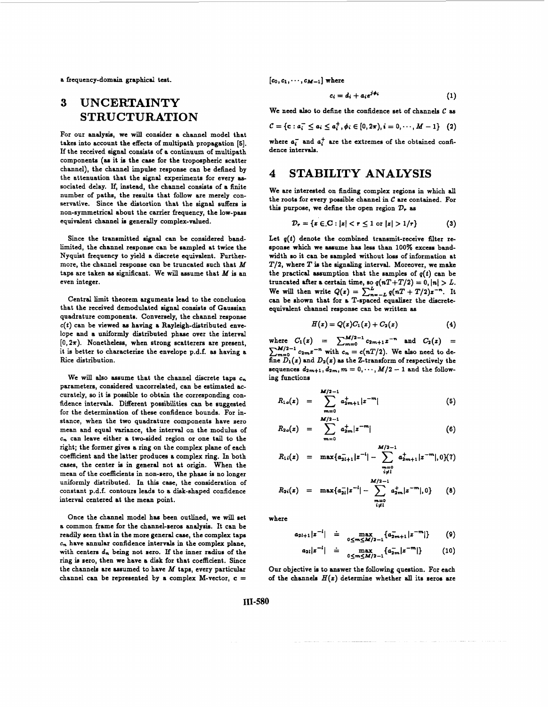a frequency-domain graphical test.

# **3 UNCERTAINTY STRUCTURATION**

For our analysis, we will consider a channel model that takes into account the effects of multipath propagation **[5].**  If the received signal consists of **a** continuum of multipath components (as it is the case for the tropospheric scatter channel), the channel impulee response can be defined by the attenuation that the signal experiments for every **as**sociated delay. If, instead, the channel consists of a finite number of paths, the results that follow are merely conservative. Since the distortion that the signal suffers is non-symmetrical about the carrier frequency, the low-pass equivalent channel is generally complex-valued.

Since the transmitted signal can be considered bandlimited, the channel response can be sampled at twice the Nyquist frequency to yield a discrete equivalent. Furthermore, the channel response can be truncated such that *M*  taps are taken **as** significant. We will assume that *M* **ie** an even integer.

Central limit theorem arguments lead to the conclusion that the received demodulated signal consists of Gaussian quadrature components. Conversely, the channel response  $c(t)$  can be viewed as having a Rayleigh-distributed envelope and a uniformly distributed phase over the interval  $[0,2\pi)$ . Nonetheless, when strong scatterers are present, it is better to characterize the envelope p.d.f. as having a Rice distribution.

We will **also** assume that the channel discrete taps *e,*  parameters, considered uncorrelated, can be estimated accurately, **so** it is possible to obtain the corresponding confidence intervals. Different possibilities can be suggested for the determination of these confidence bounds. For instance, when the two quadrature components have zero mean and equal variance, the interval **on** the modulus of *c,* can leave either a two-sided region or one tail to the right; the former gives a **ring** on the complex plane of each coefficient and the latter produces a complex ring. In both cases, the center is in general not at origin. When the mean of the coefficients in non-zero, the phase is no longer uniformly distributed. **In** this case, the consideration of constant p.d.f. contours leads to a disk-shaped confidence interval centered at the mean point.

Once the channel model has been outlined, we will set a common frame for the channel-zeros analysis. It can be readily seen that in the more general case, the complex taps *E,,* have annular confidence intervals in the complex plane, with centers **d,** being not zero. If the inner radius of the ring is zero, then we have a **disk** for that coefficient. Since the channels are assumed to have *M* taps, every particular channel can be represented by a complex M-vector,  $c =$   $[c_0, c_1, \cdots, c_{M-1}]$  where

$$
c_i = d_i + a_i e^{j\phi_i} \tag{1}
$$

We need also to define the confidence set of channels  $C$  as

$$
C = \{c : a_i^-\leq a_i \leq a_i^+, \phi_i \in [0, 2\pi), i = 0, \cdots, M-1\} \quad (2)
$$

where  $a_i^+$  and  $a_i^+$  are the extremes of the obtained confidence intervals.

# **4 STABILITY ANALYSIS**

We are interested **on finding** complex regions in which **all**  the roote for every possible channel in **C** are contained. For this purpose, we define the open region  $\mathcal{D}_r$  as

$$
\mathcal{D}_r = \{ z \in \mathbf{C} : |z| < r \leq 1 \text{ or } |z| > 1/r \} \tag{3}
$$

Let  $q(t)$  denote the combined transmit-receive filter response which we assume has less than 100% excess bandwidth **so** it can be sampled without loss of information at *T/2,* where *T* **is** the signaling interval. Moreover, we make the practical assumption that the samples of  $q(t)$  can be truncated after a certain time, so  $q(nT+T/2) = 0, |n| > L$ . We will then write  $Q(z) = \sum_{n=-L}^{L} q(nT + T/2)z^{-n}$ . It can be shown that for a T-spaced equaliser the discreteequivalent channel response can be written **as** 

$$
H(z) = Q(z)C_1(z) + C_2(z)
$$
 (4)

 $\text{where } C_1(z) = \sum_{n=0}^{M/2-1} c_{2n+1} z^{-n} \text{ and } C_2(z) = 0$  $\sum_{m=0}^{M/2-1} c_{2m} z^{-n}$  with  $c_n = c(nT/2)$ . We also need to define  $D_1(z)$  and  $D_2(z)$  as the Z-transform of respectively the sequences  $d_{2m+1}, d_{2m}, m = 0, \dots, M/2 - 1$  and the following functions

$$
R_{1o}(z) = \sum_{m=0}^{M/2-1} a_{2m+1}^+ |z^{-m}| \tag{5}
$$

$$
R_{2o}(z) = \sum_{m=0}^{M/2-1} a_{2m}^+ |z^{-m}| \tag{6}
$$

$$
R_{1i}(z) = \max \{ a_{2i+1}^{-1} | z^{-1} | - \sum_{\substack{m=0 \ i \neq i}}^{M/2-1} a_{2m+1}^{+} | z^{-m} |, 0 \} (7)
$$

$$
R_{2i}(z) = \max\{a_{2i}^{-}|z^{-i}|-\sum_{\substack{m=0\\i\neq l}}^{M/2-1}a_{2m}^{+}|z^{-m}|,0\} \qquad (8)
$$

where

$$
a_{2l+1}|z^{-l}| = \max_{0 \le m \le M/2-1} \{a_{2m+1}^{-m} | z^{-m} | \} \qquad (9)
$$

$$
a_{2l}|z^{-l}| = \max_{0 \le m \le M/2 - 1} \{a_{2m}^-|z^{-m}|\} \qquad (10)
$$

**Our** objective is to answer the following question. For each of the channels  $H(z)$  determine whether all its zeros are

**111-580**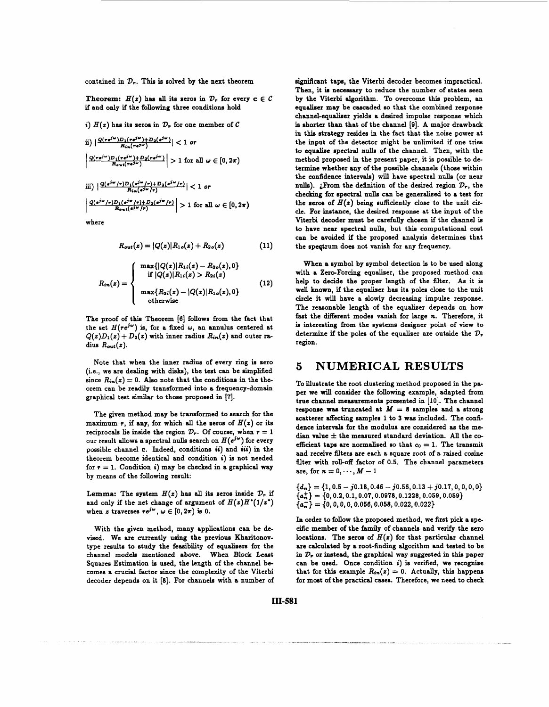contained in *V,.* This **in** solved by the next theorem

**Theorem:**  $H(z)$  has all its seros in  $\mathcal{D}_r$  for every  $c \in \mathcal{C}$ if and **only** if the following three conditions hold

i)  $H(z)$  has its seros in  $\mathcal{D}_r$  for one member of  $\mathcal C$ 

ii) 
$$
\left| \frac{Q(re^{j\omega})D_1(re^{j\omega})+D_2(e^{j\omega})}{R_{in}(re^{j\omega})}\right| < 1 \text{ or}
$$
  
\n
$$
\left| \frac{Q(re^{j\omega})D_1(re^{j\omega})+D_2(re^{j\omega})}{R_{out}(re^{j\omega})}\right| > 1 \text{ for all } \omega \in [0, 2\pi)
$$
  
\niii) 
$$
\left| \frac{Q(e^{j\omega}/r)D_1(e^{j\omega}/r)+D_2(e^{j\omega}/r)}{R_{in}(e^{j\omega}/r)}\right| < 1 \text{ or}
$$
  
\n
$$
\left| \frac{Q(e^{j\omega}/r)D_1(e^{j\omega}/r)+D_2(e^{j\omega}/r)}{R_{in}(e^{j\omega}/r)}\right| > 1 \text{ for all } \omega \in [0, 2\pi)
$$

where

$$
R_{out}(z) = |Q(z)|R_{1o}(z) + R_{2o}(z)
$$
 (11)

$$
R_{in}(z) = \begin{cases} \max\{|Q(z)|R_{1i}(z) - R_{2o}(z), 0\} \\ \text{if } |Q(z)|R_{1i}(z) > R_{2i}(z) \\ \max\{R_{2i}(z) - |Q(z)|R_{1o}(z), 0\} \\ \text{otherwise} \end{cases}
$$
(12)

The proof of thin Theorem **[0]** follows from the fact that the set  $H(re^{j\omega})$  is, for a fixed  $\omega$ , an annulus centered at  $Q(z)D_1(z) + D_2(z)$  with inner radius  $R_{in}(z)$  and outer radius  $R_{out}(z)$ .

Note that when the inner radius of every ring **ia** sero (i.e., we are dealing with **dish),** the test can be simplified since  $R_{in}(z) = 0$ . Also note that the conditions in the theorem can be readily transformed into **a** frequency-domain graphical test **similar** to those proposed in **[7].** 

The given method may be transformed to search for the maximum  $r$ , if any, for which all the seros of  $H(z)$  or its reciprocals lie inside the region  $\mathcal{D}_r$ . Of course, when  $r = 1$ our result allows a spectral nulls search on  $H(e^{j\omega})$  for every possible channel *c.* Indeed, conditions *ii)* and **iii)** in the theorem become identical and condition **i)** is not needed for  $r = 1$ . Condition **i**) may be checked in a graphical way by means of the following result:

Lemma: The system  $H(z)$  has all its zeros inside  $\mathcal{D}_r$  if and only if the net change of argument of  $H(z)H^*(1/z^*)$ when z traverses  $re^{j\omega}$ ,  $\omega \in [0,2\pi)$  is 0.

With the given method, many applications can be devised. We are currently using the previous Kharitonovtype results to study the feasibility of equalisers for the channel models mentioned above. When **Block** Least Squares Estimation is used, the length of the channel bccomes a crucial factor since the complexity of the Viterbi decoder depends on it [8]. For channels with a number of significant taps, the Viterbi decoder becomes impractical. Then, it **in** necessary to reduce the number of states seen by the Viterbi algorithm. To overcome this problem, an equaliser may be cascaded **so** that the combined response channel-equaliser yields a desired impulse response which is shorter than that of the channel **[9].** A major drawback in this strategy resides in the fact that the noise power at the input of the detector might be unlimited if one tries to equalise spectral **nulls** of the channel. Then, with the method proposed in the present paper, it is possible to determine whether **any** of the possible channels (those within the confidence intervals) will have spectral nulls (or near nulls). *i*From the definition of the desired region  $\mathcal{D}_r$ , the checking for spectral **nulla** can be generalized to a test for the seros of  $H(z)$  being sufficiently close to the unit circle. **For** instance, the desired response at the input of the Viterbi decoder must be carefully chosen if the channel is to have near spectral **nulls,** but this computational cost can be avoided if the proposed analysis determines that the speqtrum does not vanish for any frequency.

When **a** symbol by symbol detection **is** to be used along with a Zero-Forcing equaliser, the proposed method can help to decide the proper length of the filter. **As** it is well known, if the equaliser has its poles close to the unit circle it will have a slowly decreasing impulse response. The reasonable length of the equalizer depends **on** how fast the different modes vanish for large *n*. Therefore, it is interesting from the systems designer point of view to determine if the poles of the equalizer are outside the  $\mathcal{D}_r$ region.

#### **5 NUMERICAL RESULTS**

To illustrate the root clustering method proposed in the paper we will consider the following example, adapted **from**  true channel measurements presented in [lo]. The channel response was truncated at  $M = 8$  samples and a strong scatterer affecting samples 1 to 3 was included. The confidence intervals for the modulus are considered **as** the median value  $\pm$  the measured standard deviation. All the coefficient taps are normalized so that  $c_0 = 1$ . The transmit and receive filters are each **a** square root of a raised cosine filter with roll-off factor of 0.5. The channel parameters are, for  $n=0,\cdots,M-1$ 

 ${d_n} = {1, 0.5 - j0.18, 0.46 - j0.56, 0.13 + j0.17, 0, 0, 0, 0}$ *(U;}* = **{0,0.2,0.1,0.07,0.0978,0.1228,0.059,0.059}**  *{U;}* = **(0, O,O, 0,0.050,0.058,0.022,0.022}** 

In order to follow the proposed method, we first pick a specific member of the family of channels and verify the zero locations. The seros of  $H(z)$  for that particular channel are calculated by a root-finding algorithm and tested to be in *D,* **or** instead, the graphical **way** suggested in this paper can be used. Once condition **i)** is verified, we recognize that for this example  $R_{in}(z) = 0$ . Actually, this happens for most of the practical cases. Therefore, we need to check

**In-581**